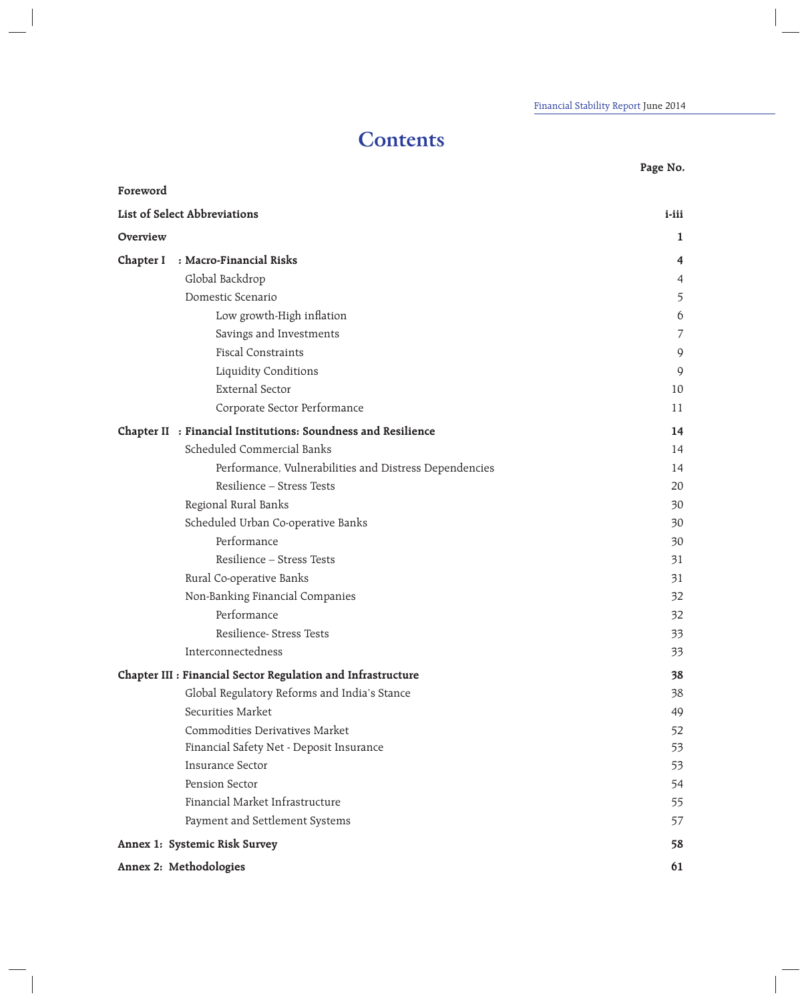# **Contents**

**Page No.**

| Foreword               |                                                               |                |
|------------------------|---------------------------------------------------------------|----------------|
|                        | List of Select Abbreviations                                  | $i$ -iii       |
| Overview               |                                                               | $\mathbf{1}$   |
| Chapter I              | : Macro-Financial Risks                                       | 4              |
|                        | Global Backdrop                                               | $\overline{4}$ |
|                        | Domestic Scenario                                             | 5              |
|                        | Low growth-High inflation                                     | 6              |
|                        | Savings and Investments                                       | 7              |
|                        | <b>Fiscal Constraints</b>                                     | 9              |
|                        | Liquidity Conditions                                          | 9              |
|                        | <b>External Sector</b>                                        | 10             |
|                        | Corporate Sector Performance                                  | 11             |
|                        | Chapter II : Financial Institutions: Soundness and Resilience | 14             |
|                        | Scheduled Commercial Banks                                    | 14             |
|                        | Performance, Vulnerabilities and Distress Dependencies        | 14             |
|                        | Resilience - Stress Tests                                     | 20             |
|                        | Regional Rural Banks                                          | 30             |
|                        | Scheduled Urban Co-operative Banks                            | 30             |
|                        | Performance                                                   | 30             |
|                        | Resilience - Stress Tests                                     | 31             |
|                        | Rural Co-operative Banks                                      | 31             |
|                        | Non-Banking Financial Companies                               | 32             |
|                        | Performance                                                   | 32             |
|                        | Resilience- Stress Tests                                      | 33             |
|                        | Interconnectedness                                            | 33             |
|                        | Chapter III : Financial Sector Regulation and Infrastructure  | 38             |
|                        | Global Regulatory Reforms and India's Stance                  | 38             |
|                        | Securities Market                                             | 49             |
|                        | Commodities Derivatives Market                                | 52             |
|                        | Financial Safety Net - Deposit Insurance                      | 53             |
|                        | <b>Insurance Sector</b>                                       | 53             |
|                        | Pension Sector                                                | 54             |
|                        | Financial Market Infrastructure                               | 55             |
|                        | Payment and Settlement Systems                                | 57             |
|                        | Annex 1: Systemic Risk Survey                                 | 58             |
| Annex 2: Methodologies |                                                               | 61             |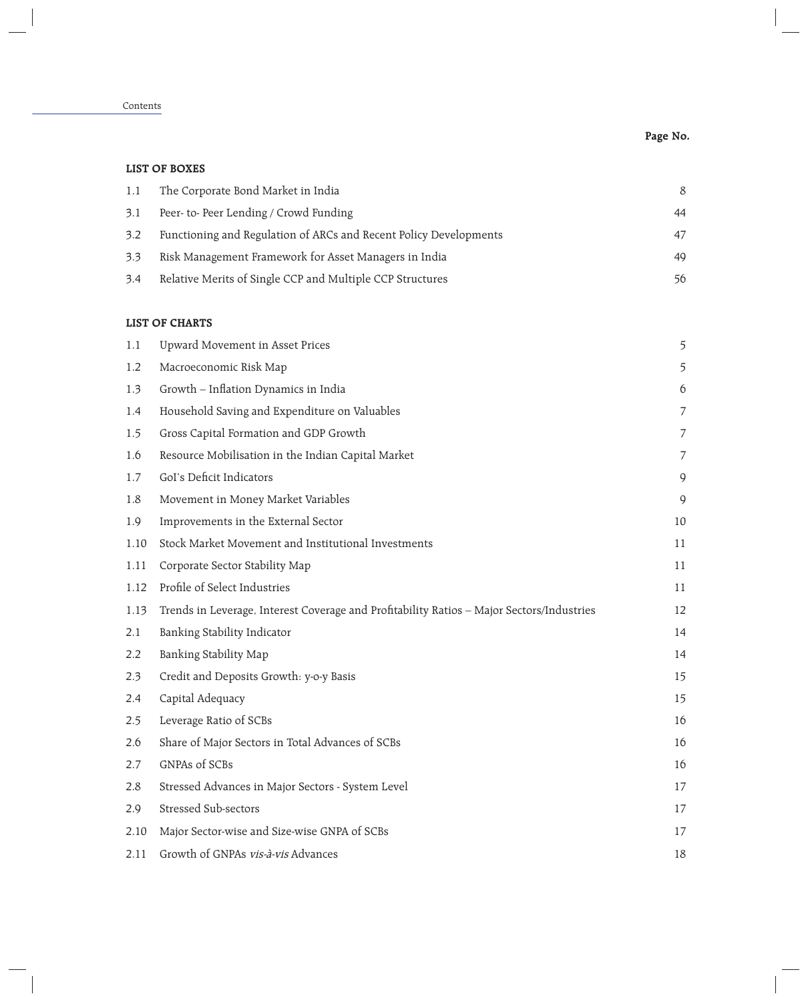## Contents

# **Page No.**

## **LIST OF BOXES**

| 1.1 | The Corporate Bond Market in India                                | <sup>8</sup> |
|-----|-------------------------------------------------------------------|--------------|
| 3.1 | Peer- to-Peer Lending / Crowd Funding                             | 44           |
| 3.2 | Functioning and Regulation of ARCs and Recent Policy Developments | 47           |
| 3.3 | Risk Management Framework for Asset Managers in India             | 49           |
| 3.4 | Relative Merits of Single CCP and Multiple CCP Structures         | 56           |

#### **LIST OF CHARTS**

| 1.1  | Upward Movement in Asset Prices                                                           | 5              |
|------|-------------------------------------------------------------------------------------------|----------------|
| 1.2  | Macroeconomic Risk Map                                                                    | 5              |
| 1.3  | Growth - Inflation Dynamics in India                                                      | 6              |
| 1.4  | Household Saving and Expenditure on Valuables                                             | $\overline{7}$ |
| 1.5  | Gross Capital Formation and GDP Growth                                                    | 7              |
| 1.6  | Resource Mobilisation in the Indian Capital Market                                        | 7              |
| 1.7  | GoI's Deficit Indicators                                                                  | 9              |
| 1.8  | Movement in Money Market Variables                                                        | 9              |
| 1.9  | Improvements in the External Sector                                                       | 10             |
| 1.10 | Stock Market Movement and Institutional Investments                                       | 11             |
| 1.11 | Corporate Sector Stability Map                                                            | 11             |
| 1.12 | Profile of Select Industries                                                              | 11             |
| 1.13 | Trends in Leverage, Interest Coverage and Profitability Ratios - Major Sectors/Industries | 12             |
| 2.1  | Banking Stability Indicator                                                               | 14             |
| 2.2  | Banking Stability Map                                                                     | 14             |
| 2.3  | Credit and Deposits Growth: y-o-y Basis                                                   | 15             |
| 2.4  | Capital Adequacy                                                                          | 15             |
| 2.5  | Leverage Ratio of SCBs                                                                    | 16             |
| 2.6  | Share of Major Sectors in Total Advances of SCBs                                          | 16             |
| 2.7  | GNPAs of SCBs                                                                             | 16             |
| 2.8  | Stressed Advances in Major Sectors - System Level                                         | 17             |
| 2.9  | <b>Stressed Sub-sectors</b>                                                               | 17             |
| 2.10 | Major Sector-wise and Size-wise GNPA of SCBs                                              | 17             |
| 2.11 | Growth of GNPAs vis-à-vis Advances                                                        | 18             |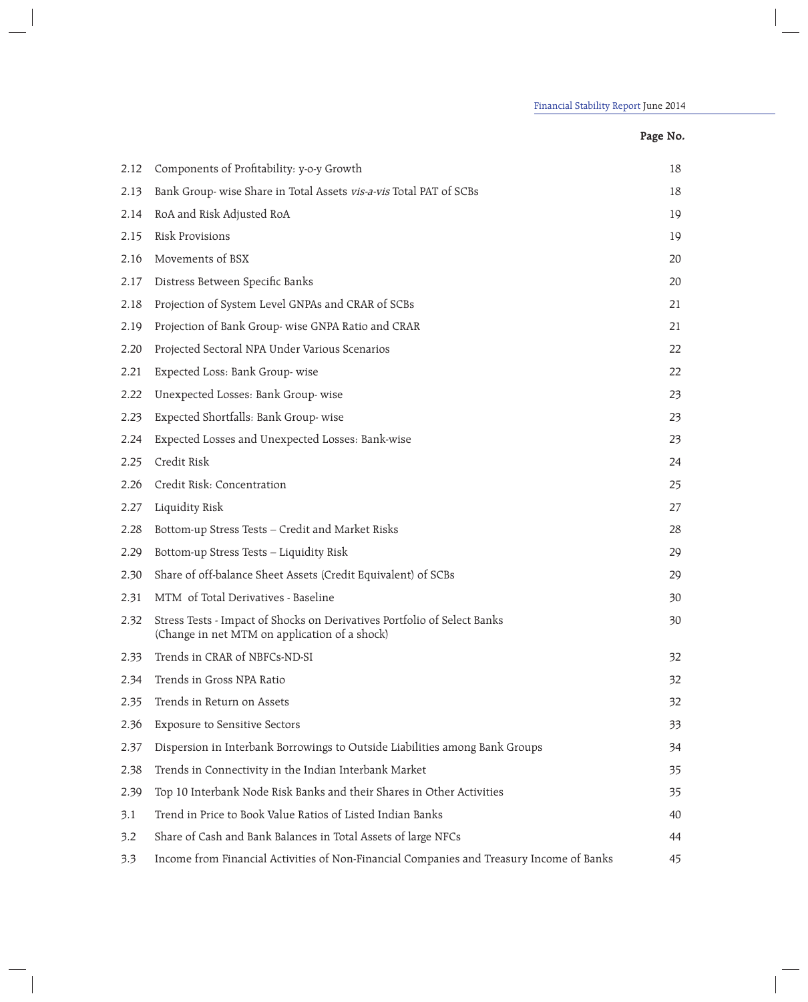## **Page No.**

| 2.12 | Components of Profitability: y-o-y Growth                                                                                 | 18 |
|------|---------------------------------------------------------------------------------------------------------------------------|----|
| 2.13 | Bank Group- wise Share in Total Assets vis-a-vis Total PAT of SCBs                                                        | 18 |
| 2.14 | RoA and Risk Adjusted RoA                                                                                                 | 19 |
| 2.15 | <b>Risk Provisions</b>                                                                                                    | 19 |
| 2.16 | Movements of BSX                                                                                                          | 20 |
| 2.17 | Distress Between Specific Banks                                                                                           | 20 |
| 2.18 | Projection of System Level GNPAs and CRAR of SCBs                                                                         | 21 |
| 2.19 | Projection of Bank Group- wise GNPA Ratio and CRAR                                                                        | 21 |
| 2.20 | Projected Sectoral NPA Under Various Scenarios                                                                            | 22 |
| 2.21 | Expected Loss: Bank Group-wise                                                                                            | 22 |
| 2.22 | Unexpected Losses: Bank Group-wise                                                                                        | 23 |
| 2.23 | Expected Shortfalls: Bank Group-wise                                                                                      | 23 |
| 2.24 | Expected Losses and Unexpected Losses: Bank-wise                                                                          | 23 |
| 2.25 | Credit Risk                                                                                                               | 24 |
| 2.26 | Credit Risk: Concentration                                                                                                | 25 |
| 2.27 | Liquidity Risk                                                                                                            | 27 |
| 2.28 | Bottom-up Stress Tests - Credit and Market Risks                                                                          | 28 |
| 2.29 | Bottom-up Stress Tests - Liquidity Risk                                                                                   | 29 |
| 2.30 | Share of off-balance Sheet Assets (Credit Equivalent) of SCBs                                                             | 29 |
| 2.31 | MTM of Total Derivatives - Baseline                                                                                       | 30 |
| 2.32 | Stress Tests - Impact of Shocks on Derivatives Portfolio of Select Banks<br>(Change in net MTM on application of a shock) | 30 |
| 2.33 | Trends in CRAR of NBFCs-ND-SI                                                                                             | 32 |
| 2.34 | Trends in Gross NPA Ratio                                                                                                 | 32 |
| 2.35 | Trends in Return on Assets                                                                                                | 32 |
| 2.36 | <b>Exposure to Sensitive Sectors</b>                                                                                      | 33 |
| 2.37 | Dispersion in Interbank Borrowings to Outside Liabilities among Bank Groups                                               | 34 |
| 2.38 | Trends in Connectivity in the Indian Interbank Market                                                                     | 35 |
| 2.39 | Top 10 Interbank Node Risk Banks and their Shares in Other Activities                                                     | 35 |
| 3.1  | Trend in Price to Book Value Ratios of Listed Indian Banks                                                                | 40 |
| 3.2  | Share of Cash and Bank Balances in Total Assets of large NFCs                                                             | 44 |
| 3.3  | Income from Financial Activities of Non-Financial Companies and Treasury Income of Banks                                  | 45 |